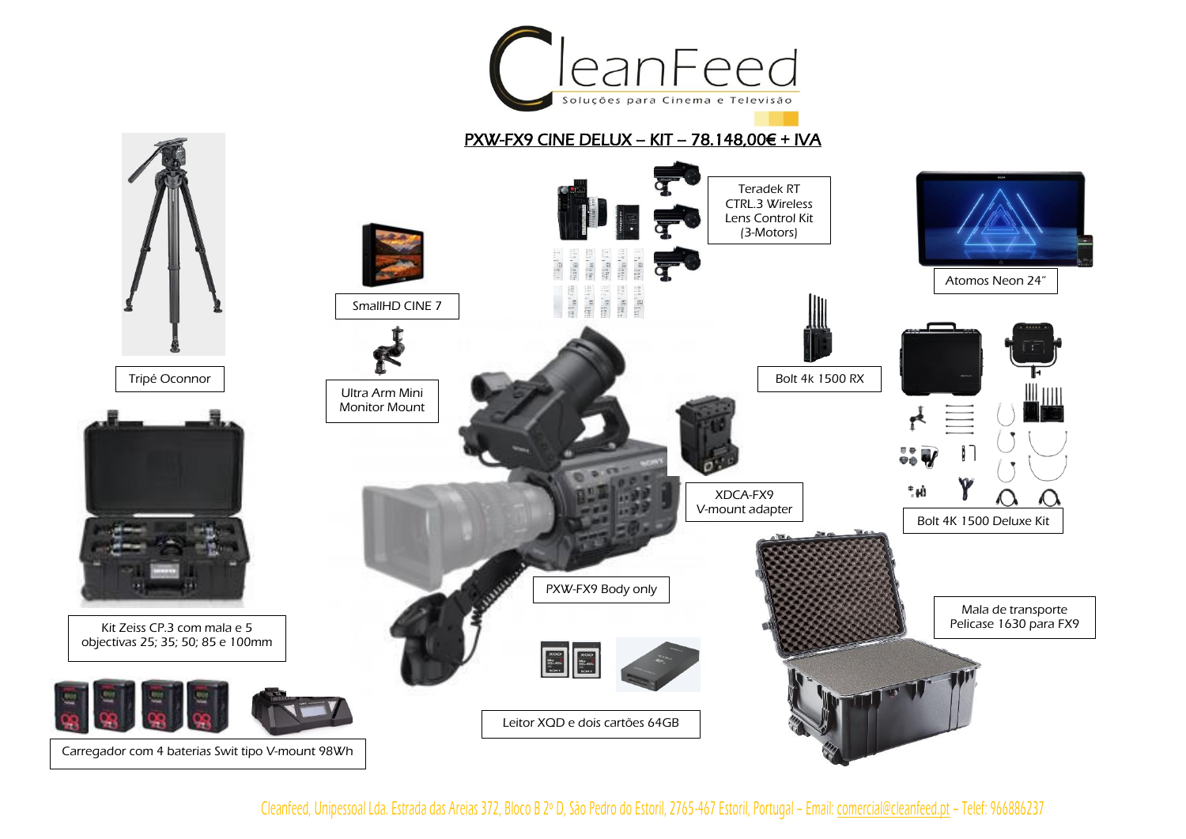

Cleanfeed, Unipessoal Lda. Estrada das Areias 372, Bloco B 2º D, São Pedro do Estoril, 2765 -467 Estoril, Portugal – Email[: comercial@cleanfeed.pt](mailto:comercial@cleanfeed.pt) – Telef: 966886237